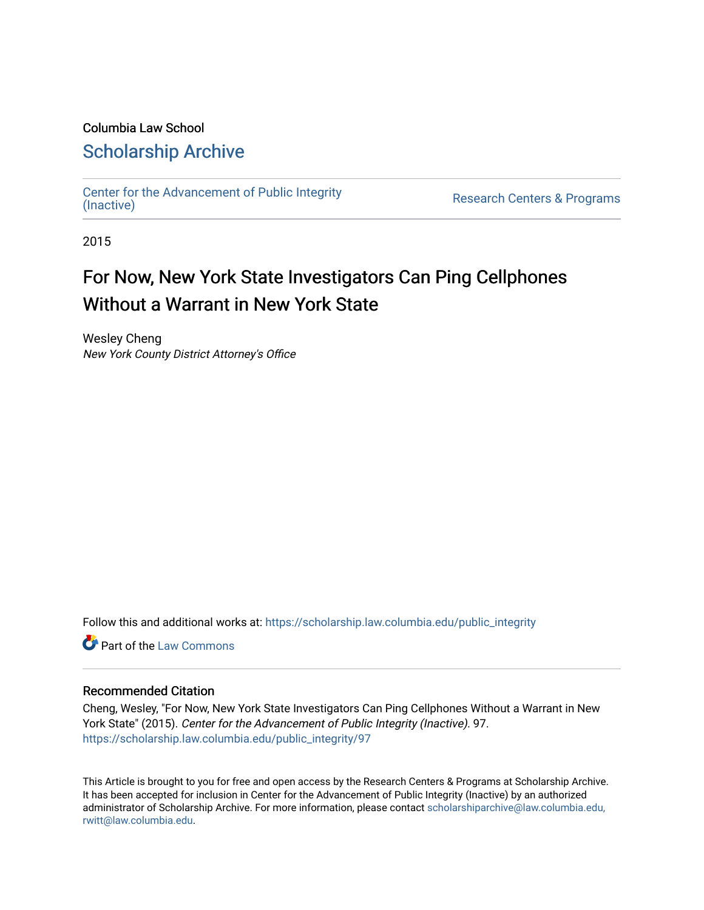#### Columbia Law School

### [Scholarship Archive](https://scholarship.law.columbia.edu/)

[Center for the Advancement of Public Integrity](https://scholarship.law.columbia.edu/public_integrity)<br>(Inactive)

Research Centers & Programs

2015

# For Now, New York State Investigators Can Ping Cellphones Without a Warrant in New York State

Wesley Cheng New York County District Attorney's Office

Follow this and additional works at: [https://scholarship.law.columbia.edu/public\\_integrity](https://scholarship.law.columbia.edu/public_integrity?utm_source=scholarship.law.columbia.edu%2Fpublic_integrity%2F97&utm_medium=PDF&utm_campaign=PDFCoverPages)

**C** Part of the [Law Commons](http://network.bepress.com/hgg/discipline/578?utm_source=scholarship.law.columbia.edu%2Fpublic_integrity%2F97&utm_medium=PDF&utm_campaign=PDFCoverPages)

#### Recommended Citation

Cheng, Wesley, "For Now, New York State Investigators Can Ping Cellphones Without a Warrant in New York State" (2015). Center for the Advancement of Public Integrity (Inactive). 97. [https://scholarship.law.columbia.edu/public\\_integrity/97](https://scholarship.law.columbia.edu/public_integrity/97?utm_source=scholarship.law.columbia.edu%2Fpublic_integrity%2F97&utm_medium=PDF&utm_campaign=PDFCoverPages) 

This Article is brought to you for free and open access by the Research Centers & Programs at Scholarship Archive. It has been accepted for inclusion in Center for the Advancement of Public Integrity (Inactive) by an authorized administrator of Scholarship Archive. For more information, please contact [scholarshiparchive@law.columbia.edu,](mailto:scholarshiparchive@law.columbia.edu,%20rwitt@law.columbia.edu)  [rwitt@law.columbia.edu.](mailto:scholarshiparchive@law.columbia.edu,%20rwitt@law.columbia.edu)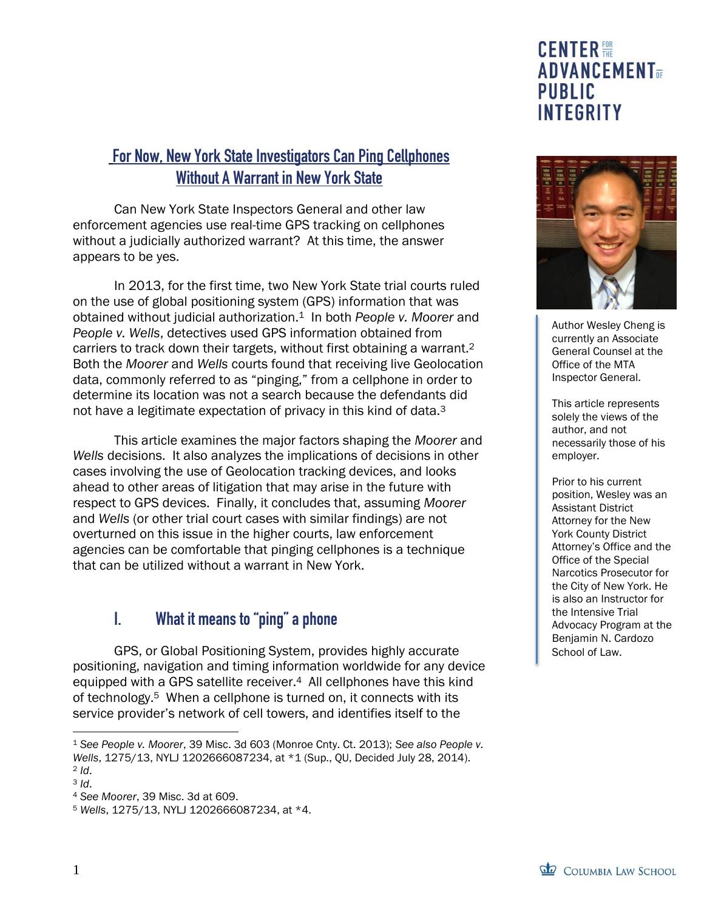### For Now, New York State Investigators Can Ping Cellphones Without A Warrant in New York State

Can New York State Inspectors General and other law enforcement agencies use real-time GPS tracking on cellphones without a judicially authorized warrant? At this time, the answer appears to be yes.

In 2013, for the first time, two New York State trial courts ruled on the use of global positioning system (GPS) information that was obtained without judicial authorization.1 In both *People v. Moorer* and *People v. Wells*, detectives used GPS information obtained from carriers to track down their targets, without first obtaining a warrant.<sup>2</sup> Both the *Moorer* and *Wells* courts found that receiving live Geolocation data, commonly referred to as "pinging," from a cellphone in order to determine its location was not a search because the defendants did not have a legitimate expectation of privacy in this kind of data.<sup>3</sup>

This article examines the major factors shaping the *Moorer* and *Wells* decisions. It also analyzes the implications of decisions in other cases involving the use of Geolocation tracking devices, and looks ahead to other areas of litigation that may arise in the future with respect to GPS devices. Finally, it concludes that, assuming *Moorer* and *Wells* (or other trial court cases with similar findings) are not overturned on this issue in the higher courts, law enforcement agencies can be comfortable that pinging cellphones is a technique that can be utilized without a warrant in New York.

### I. What it means to "ping" a phone

GPS, or Global Positioning System, provides highly accurate positioning, navigation and timing information worldwide for any device equipped with a GPS satellite receiver.<sup>4</sup> All cellphones have this kind of technology.5 When a cellphone is turned on, it connects with its service provider's network of cell towers, and identifies itself to the

 $\overline{a}$ 

# **CENTER 體 ADVANCEMENT PUBLIC INTEGRITY**



Author Wesley Cheng is currently an Associate General Counsel at the Office of the MTA Inspector General.

This article represents solely the views of the author, and not necessarily those of his employer.

Prior to his current position, Wesley was an Assistant District Attorney for the New York County District Attorney's Office and the Office of the Special Narcotics Prosecutor for the City of New York. He is also an Instructor for the Intensive Trial Advocacy Program at the Benjamin N. Cardozo School of Law.

<sup>1</sup> *See People v. Moorer*, 39 Misc. 3d 603 (Monroe Cnty. Ct. 2013); *See also People v. Wells*, 1275/13, NYLJ 1202666087234, at \*1 (Sup., QU, Decided July 28, 2014). <sup>2</sup> *Id*.

<sup>3</sup> *Id*.

<sup>4</sup> *See Moorer*, 39 Misc. 3d at 609.

<sup>5</sup> *Wells*, 1275/13, NYLJ 1202666087234, at \*4.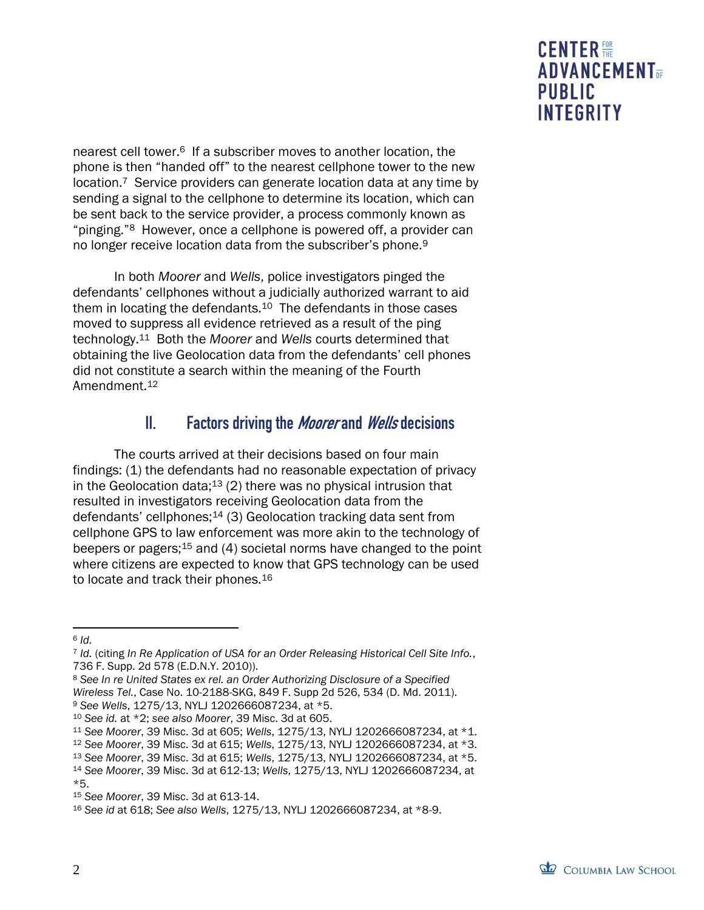nearest cell tower.6 If a subscriber moves to another location, the phone is then "handed off" to the nearest cellphone tower to the new location.<sup>7</sup> Service providers can generate location data at any time by sending a signal to the cellphone to determine its location, which can be sent back to the service provider, a process commonly known as "pinging."8 However, once a cellphone is powered off, a provider can no longer receive location data from the subscriber's phone.<sup>9</sup>

In both *Moorer* and *Wells*, police investigators pinged the defendants' cellphones without a judicially authorized warrant to aid them in locating the defendants.10 The defendants in those cases moved to suppress all evidence retrieved as a result of the ping technology.11 Both the *Moorer* and *Wells* courts determined that obtaining the live Geolocation data from the defendants' cell phones did not constitute a search within the meaning of the Fourth Amendment.<sup>12</sup>

## II. Factors driving the *Moorer* and *Wells* decisions

The courts arrived at their decisions based on four main findings: (1) the defendants had no reasonable expectation of privacy in the Geolocation data;<sup>13</sup> (2) there was no physical intrusion that resulted in investigators receiving Geolocation data from the defendants' cellphones; $14$  (3) Geolocation tracking data sent from cellphone GPS to law enforcement was more akin to the technology of beepers or pagers;<sup>15</sup> and (4) societal norms have changed to the point where citizens are expected to know that GPS technology can be used to locate and track their phones.<sup>16</sup>

*Wireless Tel.*, Case No. 10-2188-SKG, 849 F. Supp 2d 526, 534 (D. Md. 2011). <sup>9</sup> *See Wells*, 1275/13, NYLJ 1202666087234, at \*5.

 $\overline{a}$ <sup>6</sup> *Id.*

<sup>7</sup> *Id.* (citing *In Re Application of USA for an Order Releasing Historical Cell Site Info.*, 736 F. Supp. 2d 578 (E.D.N.Y. 2010)).

<sup>8</sup> *See In re United States ex rel. an Order Authorizing Disclosure of a Specified* 

<sup>10</sup> *See id.* at \*2; *see also Moorer*, 39 Misc. 3d at 605.

<sup>11</sup> *See Moorer*, 39 Misc. 3d at 605; *Wells*, 1275/13, NYLJ 1202666087234, at \*1.

<sup>12</sup> *See Moorer*, 39 Misc. 3d at 615; *Wells*, 1275/13, NYLJ 1202666087234, at \*3.

<sup>13</sup> *See Moorer*, 39 Misc. 3d at 615; *Wells*, 1275/13, NYLJ 1202666087234, at \*5.

<sup>14</sup> *See Moorer*, 39 Misc. 3d at 612-13; *Wells*, 1275/13, NYLJ 1202666087234, at

<sup>\*5.</sup>

<sup>15</sup> *See Moorer*, 39 Misc. 3d at 613-14.

<sup>16</sup> *See id* at 618; *See also Wells*, 1275/13, NYLJ 1202666087234, at \*8-9.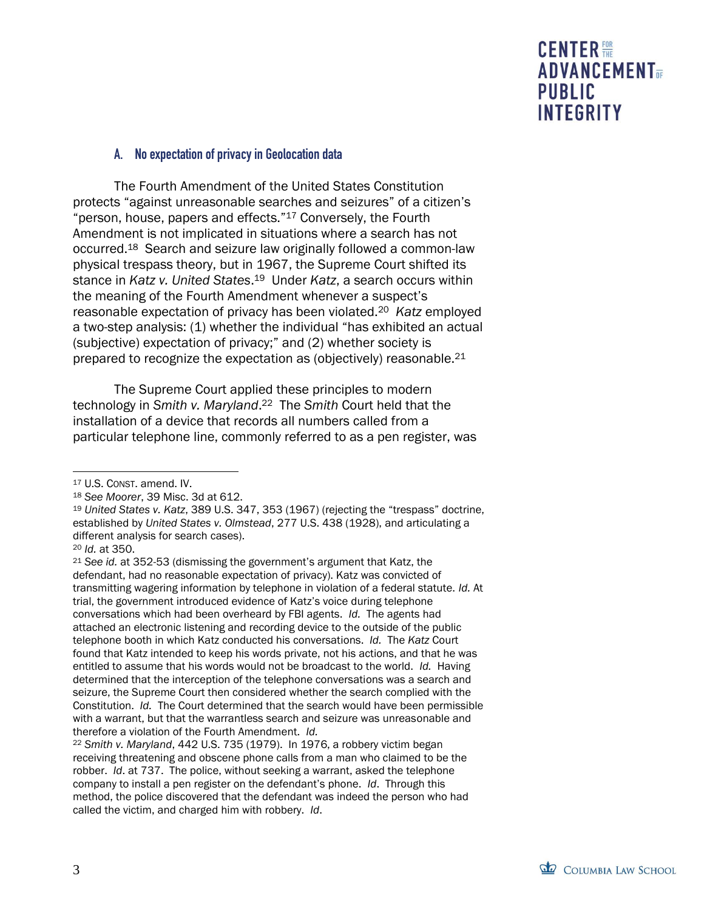### A. No expectation of privacy in Geolocation data

The Fourth Amendment of the United States Constitution protects "against unreasonable searches and seizures" of a citizen's "person, house, papers and effects."<sup>17</sup> Conversely, the Fourth Amendment is not implicated in situations where a search has not occurred.18 Search and seizure law originally followed a common-law physical trespass theory, but in 1967, the Supreme Court shifted its stance in *Katz v. United States*. <sup>19</sup> Under *Katz*, a search occurs within the meaning of the Fourth Amendment whenever a suspect's reasonable expectation of privacy has been violated.<sup>20</sup> *Katz* employed a two-step analysis: (1) whether the individual "has exhibited an actual (subjective) expectation of privacy;" and (2) whether society is prepared to recognize the expectation as (objectively) reasonable.<sup>21</sup>

The Supreme Court applied these principles to modern technology in *Smith v. Maryland*. <sup>22</sup> The *Smith* Court held that the installation of a device that records all numbers called from a particular telephone line, commonly referred to as a pen register, was

 $\overline{a}$ 

<sup>21</sup> *See id.* at 352-53 (dismissing the government's argument that Katz, the defendant, had no reasonable expectation of privacy). Katz was convicted of transmitting wagering information by telephone in violation of a federal statute. *Id.* At trial, the government introduced evidence of Katz's voice during telephone conversations which had been overheard by FBI agents. *Id.* The agents had attached an electronic listening and recording device to the outside of the public telephone booth in which Katz conducted his conversations. *Id.* The *Katz* Court found that Katz intended to keep his words private, not his actions, and that he was entitled to assume that his words would not be broadcast to the world. *Id.* Having determined that the interception of the telephone conversations was a search and seizure, the Supreme Court then considered whether the search complied with the Constitution. *Id.* The Court determined that the search would have been permissible with a warrant, but that the warrantless search and seizure was unreasonable and therefore a violation of the Fourth Amendment. *Id.*

<sup>22</sup> *Smith v. Maryland*, 442 U.S. 735 (1979). In 1976, a robbery victim began receiving threatening and obscene phone calls from a man who claimed to be the robber. *Id*. at 737. The police, without seeking a warrant, asked the telephone company to install a pen register on the defendant's phone. *Id*. Through this method, the police discovered that the defendant was indeed the person who had called the victim, and charged him with robbery. *Id*.

<sup>17</sup> U.S. CONST. amend. IV.

<sup>18</sup> *See Moorer*, 39 Misc. 3d at 612.

<sup>19</sup> *United States v. Katz*, 389 U.S. 347, 353 (1967) (rejecting the "trespass" doctrine, established by *United States v. Olmstead*, 277 U.S. 438 (1928), and articulating a different analysis for search cases).

<sup>20</sup> *Id.* at 350.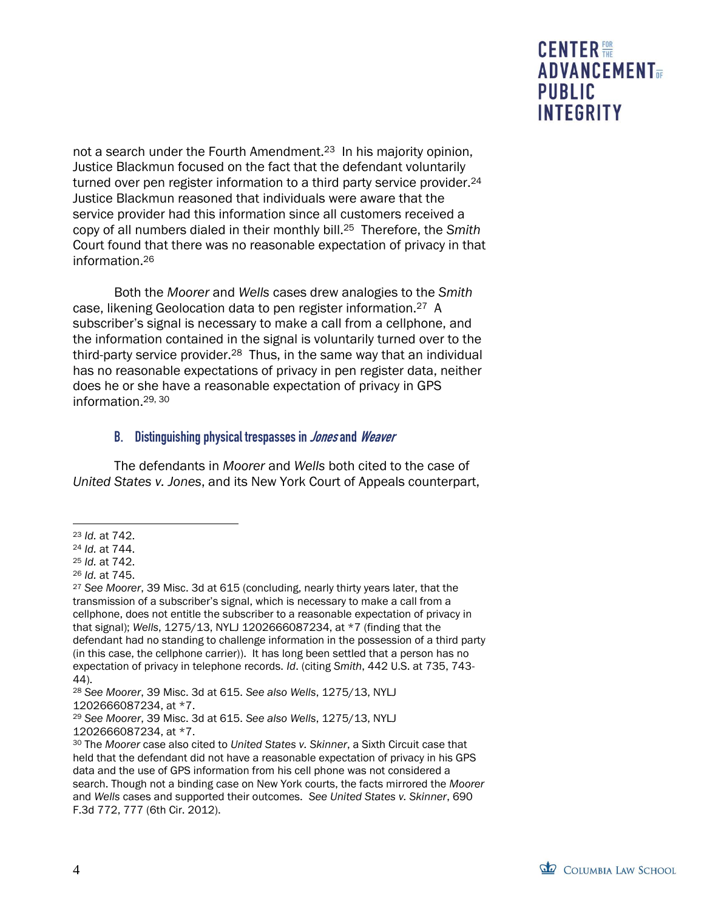not a search under the Fourth Amendment.23 In his majority opinion, Justice Blackmun focused on the fact that the defendant voluntarily turned over pen register information to a third party service provider.<sup>24</sup> Justice Blackmun reasoned that individuals were aware that the service provider had this information since all customers received a copy of all numbers dialed in their monthly bill.25 Therefore, the *Smith* Court found that there was no reasonable expectation of privacy in that information.<sup>26</sup>

Both the *Moorer* and *Wells* cases drew analogies to the *Smith* case, likening Geolocation data to pen register information.27 A subscriber's signal is necessary to make a call from a cellphone, and the information contained in the signal is voluntarily turned over to the third-party service provider.28 Thus, in the same way that an individual has no reasonable expectations of privacy in pen register data, neither does he or she have a reasonable expectation of privacy in GPS information.29, 30

#### B. Distinguishing physical trespasses in *Jones* and *Weaver*

The defendants in *Moorer* and *Wells* both cited to the case of *United States v. Jones*, and its New York Court of Appeals counterpart,

 $\overline{a}$ 

<sup>23</sup> *Id.* at 742.

<sup>24</sup> *Id.* at 744.

<sup>25</sup> *Id.* at 742.

<sup>26</sup> *Id.* at 745.

<sup>27</sup> *See Moorer*, 39 Misc. 3d at 615 (concluding, nearly thirty years later, that the transmission of a subscriber's signal, which is necessary to make a call from a cellphone, does not entitle the subscriber to a reasonable expectation of privacy in that signal); *Wells*, 1275/13, NYLJ 1202666087234, at \*7 (finding that the defendant had no standing to challenge information in the possession of a third party (in this case, the cellphone carrier)). It has long been settled that a person has no expectation of privacy in telephone records. *Id*. (citing *Smith*, 442 U.S. at 735, 743- 44).

<sup>28</sup> *See Moorer*, 39 Misc. 3d at 615. *See also Wells*, 1275/13, NYLJ 1202666087234, at \*7.

<sup>29</sup> *See Moorer*, 39 Misc. 3d at 615. *See also Wells*, 1275/13, NYLJ 1202666087234, at \*7.

<sup>30</sup> The *Moorer* case also cited to *United States v. Skinner*, a Sixth Circuit case that held that the defendant did not have a reasonable expectation of privacy in his GPS data and the use of GPS information from his cell phone was not considered a search. Though not a binding case on New York courts, the facts mirrored the *Moorer* and *Wells* cases and supported their outcomes. *See United States v. Skinner*, 690 F.3d 772, 777 (6th Cir. 2012).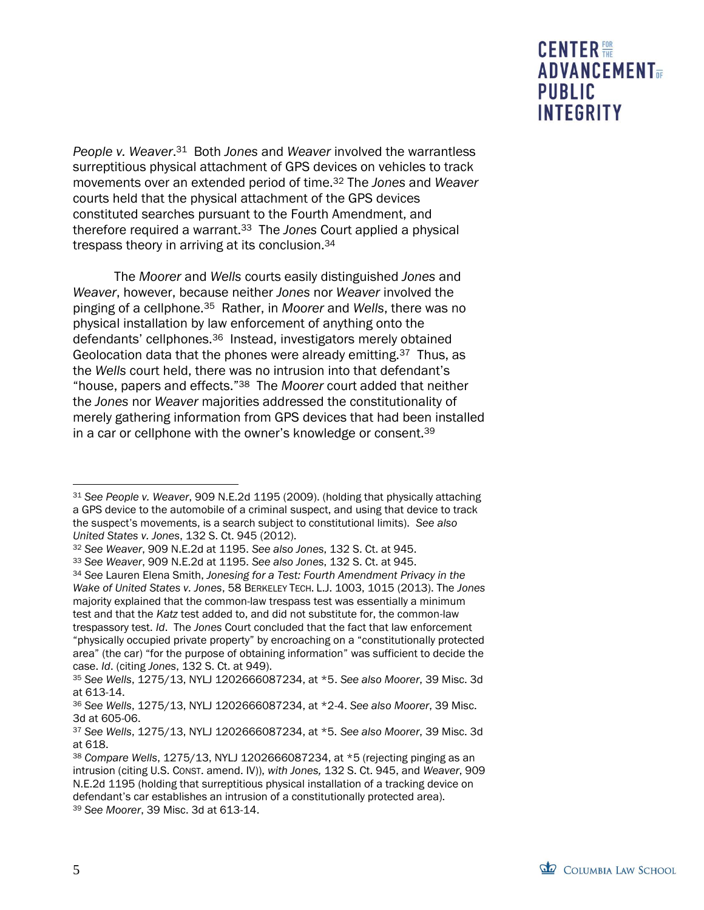*People v. Weaver*. <sup>31</sup> Both *Jones* and *Weaver* involved the warrantless surreptitious physical attachment of GPS devices on vehicles to track movements over an extended period of time.<sup>32</sup> The *Jones* and *Weaver* courts held that the physical attachment of the GPS devices constituted searches pursuant to the Fourth Amendment, and therefore required a warrant.33 The *Jones* Court applied a physical trespass theory in arriving at its conclusion.<sup>34</sup>

The *Moorer* and *Wells* courts easily distinguished *Jones* and *Weaver*, however, because neither *Jones* nor *Weaver* involved the pinging of a cellphone.35 Rather, in *Moorer* and *Wells*, there was no physical installation by law enforcement of anything onto the defendants' cellphones.36 Instead, investigators merely obtained Geolocation data that the phones were already emitting.<sup>37</sup> Thus, as the *Wells* court held, there was no intrusion into that defendant's "house, papers and effects."38 The *Moorer* court added that neither the *Jones* nor *Weaver* majorities addressed the constitutionality of merely gathering information from GPS devices that had been installed in a car or cellphone with the owner's knowledge or consent.<sup>39</sup>



 $\overline{a}$ 

<sup>31</sup> *See People v. Weaver*, 909 N.E.2d 1195 (2009). (holding that physically attaching a GPS device to the automobile of a criminal suspect, and using that device to track the suspect's movements, is a search subject to constitutional limits). *See also United States v. Jones*, 132 S. Ct. 945 (2012).

<sup>32</sup> *See Weaver*, 909 N.E.2d at 1195. *See also Jones*, 132 S. Ct. at 945.

<sup>33</sup> *See Weaver*, 909 N.E.2d at 1195. *See also Jones*, 132 S. Ct. at 945. <sup>34</sup> *See* Lauren Elena Smith, *Jonesing for a Test: Fourth Amendment Privacy in the Wake of United States v. Jones*, 58 BERKELEY TECH. L.J. 1003, 1015 (2013). The *Jones* majority explained that the common-law trespass test was essentially a minimum test and that the *Katz* test added to, and did not substitute for, the common-law trespassory test. *Id*. The *Jones* Court concluded that the fact that law enforcement "physically occupied private property" by encroaching on a "constitutionally protected area" (the car) "for the purpose of obtaining information" was sufficient to decide the case. *Id*. (citing *Jones*, 132 S. Ct. at 949).

<sup>35</sup> *See Wells*, 1275/13, NYLJ 1202666087234, at \*5. *See also Moorer*, 39 Misc. 3d at 613-14.

<sup>36</sup> *See Wells*, 1275/13, NYLJ 1202666087234, at \*2-4. *See also Moorer*, 39 Misc. 3d at 605-06.

<sup>37</sup> *See Wells*, 1275/13, NYLJ 1202666087234, at \*5. *See also Moorer*, 39 Misc. 3d at 618.

<sup>38</sup> *Compare Wells*, 1275/13, NYLJ 1202666087234, at \*5 (rejecting pinging as an intrusion (citing U.S. CONST. amend. IV)), *with Jones,* 132 S. Ct. 945, and *Weaver*, 909 N.E.2d 1195 (holding that surreptitious physical installation of a tracking device on defendant's car establishes an intrusion of a constitutionally protected area). <sup>39</sup> *See Moorer*, 39 Misc. 3d at 613-14.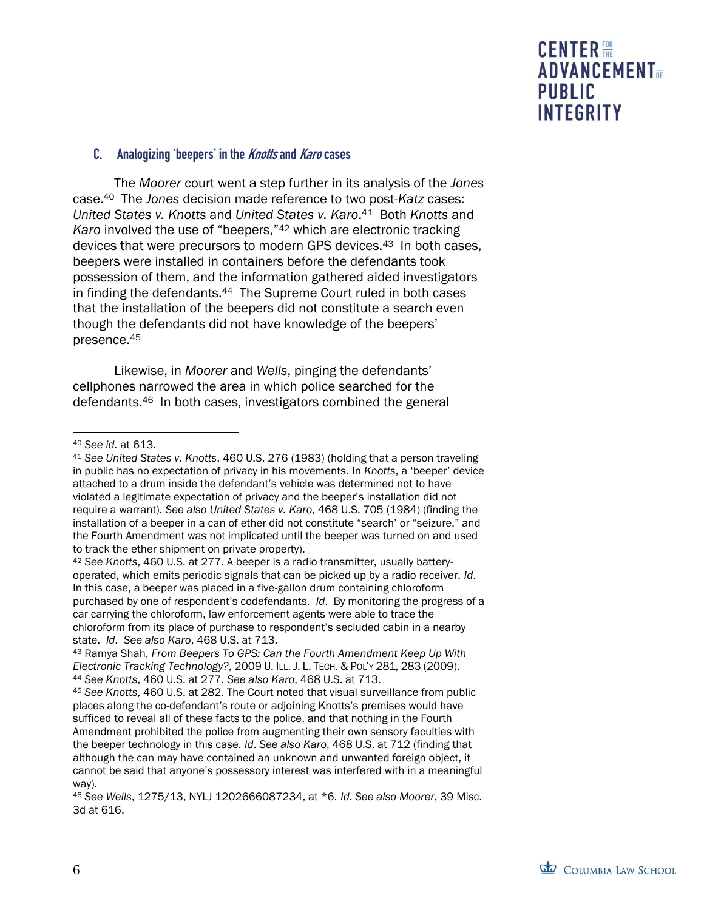

#### C. Analogizing 'beepers' in the Knotts and Karo cases

The *Moorer* court went a step further in its analysis of the *Jones* case.40 The *Jones* decision made reference to two post-*Katz* cases: *United States v. Knotts* and *United States v. Karo*. <sup>41</sup> Both *Knotts* and *Karo* involved the use of "beepers,"<sup>42</sup> which are electronic tracking devices that were precursors to modern GPS devices.43 In both cases, beepers were installed in containers before the defendants took possession of them, and the information gathered aided investigators in finding the defendants.<sup>44</sup> The Supreme Court ruled in both cases that the installation of the beepers did not constitute a search even though the defendants did not have knowledge of the beepers' presence.<sup>45</sup>

Likewise, in *Moorer* and *Wells*, pinging the defendants' cellphones narrowed the area in which police searched for the defendants.46 In both cases, investigators combined the general

<sup>42</sup> *See Knotts*, 460 U.S. at 277. A beeper is a radio transmitter, usually batteryoperated, which emits periodic signals that can be picked up by a radio receiver. *Id*. In this case, a beeper was placed in a five-gallon drum containing chloroform purchased by one of respondent's codefendants. *Id*. By monitoring the progress of a car carrying the chloroform, law enforcement agents were able to trace the chloroform from its place of purchase to respondent's secluded cabin in a nearby state. *Id*. *See also Karo*, 468 U.S. at 713.

<sup>43</sup> Ramya Shah, *From Beepers To GPS: Can the Fourth Amendment Keep Up With Electronic Tracking Technology?*, 2009 U. ILL. J. L. TECH. & POL'Y 281, 283 (2009). <sup>44</sup> *See Knotts*, 460 U.S. at 277. *See also Karo*, 468 U.S. at 713.

<sup>45</sup> *See Knotts*, 460 U.S. at 282. The Court noted that visual surveillance from public places along the co-defendant's route or adjoining Knotts's premises would have sufficed to reveal all of these facts to the police, and that nothing in the Fourth Amendment prohibited the police from augmenting their own sensory faculties with the beeper technology in this case. *Id*. *See also Karo*, 468 U.S. at 712 (finding that although the can may have contained an unknown and unwanted foreign object, it cannot be said that anyone's possessory interest was interfered with in a meaningful way).

 $\overline{a}$ <sup>40</sup> *See id.* at 613.

<sup>41</sup> *See United States v. Knotts*, 460 U.S. 276 (1983) (holding that a person traveling in public has no expectation of privacy in his movements. In *Knotts*, a 'beeper' device attached to a drum inside the defendant's vehicle was determined not to have violated a legitimate expectation of privacy and the beeper's installation did not require a warrant). *See also United States v. Karo*, 468 U.S. 705 (1984) (finding the installation of a beeper in a can of ether did not constitute "search' or "seizure," and the Fourth Amendment was not implicated until the beeper was turned on and used to track the ether shipment on private property).

<sup>46</sup> *See Wells*, 1275/13, NYLJ 1202666087234, at \*6. *Id*. *See also Moorer*, 39 Misc. 3d at 616.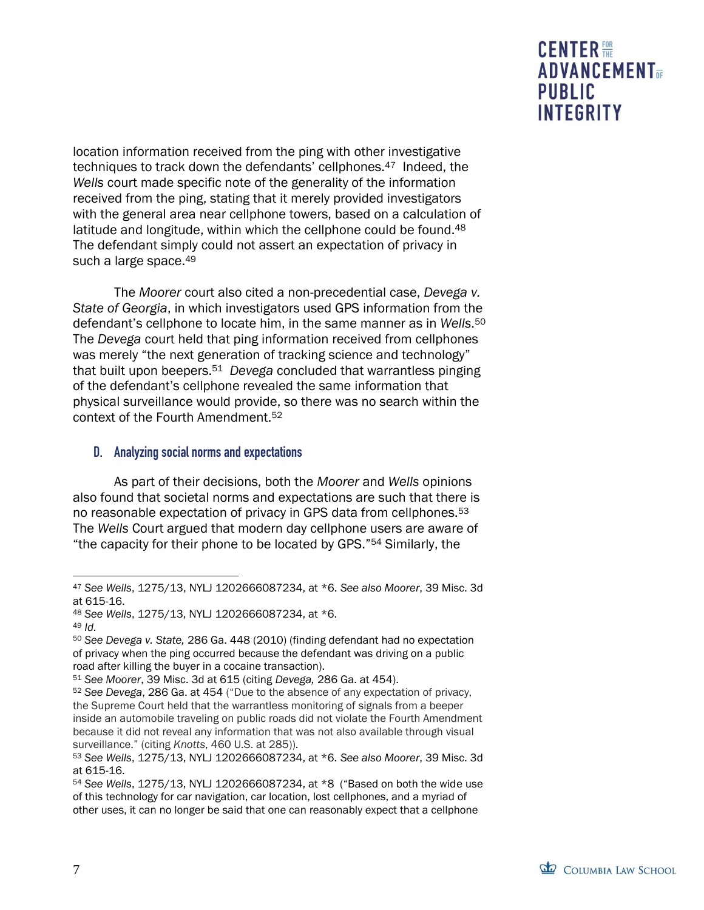location information received from the ping with other investigative techniques to track down the defendants' cellphones.47 Indeed, the *Wells* court made specific note of the generality of the information received from the ping, stating that it merely provided investigators with the general area near cellphone towers, based on a calculation of latitude and longitude, within which the cellphone could be found.<sup>48</sup> The defendant simply could not assert an expectation of privacy in such a large space.<sup>49</sup>

The *Moorer* court also cited a non-precedential case, *Devega v. State of Georgia*, in which investigators used GPS information from the defendant's cellphone to locate him, in the same manner as in *Wells*. <sup>50</sup> The *Devega* court held that ping information received from cellphones was merely "the next generation of tracking science and technology" that built upon beepers.<sup>51</sup> *Devega* concluded that warrantless pinging of the defendant's cellphone revealed the same information that physical surveillance would provide, so there was no search within the context of the Fourth Amendment.<sup>52</sup>

#### D. Analyzing social norms and expectations

As part of their decisions, both the *Moorer* and *Wells* opinions also found that societal norms and expectations are such that there is no reasonable expectation of privacy in GPS data from cellphones.<sup>53</sup> The *Wells* Court argued that modern day cellphone users are aware of "the capacity for their phone to be located by GPS."<sup>54</sup> Similarly, the

 $\overline{a}$ <sup>47</sup> *See Wells*, 1275/13, NYLJ 1202666087234, at \*6. *See also Moorer*, 39 Misc. 3d at 615-16.

<sup>48</sup> *See Wells*, 1275/13, NYLJ 1202666087234, at \*6.

<sup>49</sup> *Id.*

<sup>50</sup> *See Devega v. State,* 286 Ga. 448 (2010) (finding defendant had no expectation of privacy when the ping occurred because the defendant was driving on a public road after killing the buyer in a cocaine transaction).

<sup>51</sup> *See Moorer*, 39 Misc. 3d at 615 (citing *Devega,* 286 Ga. at 454).

<sup>52</sup> *See Devega*, 286 Ga. at 454 ("Due to the absence of any expectation of privacy, the Supreme Court held that the warrantless monitoring of signals from a beeper inside an automobile traveling on public roads did not violate the Fourth Amendment because it did not reveal any information that was not also available through visual surveillance." (citing *Knotts*, 460 U.S. at 285)).

<sup>53</sup> *See Wells*, 1275/13, NYLJ 1202666087234, at \*6. *See also Moorer*, 39 Misc. 3d at 615-16.

<sup>54</sup> *See Wells*, 1275/13, NYLJ 1202666087234, at \*8 ("Based on both the wide use of this technology for car navigation, car location, lost cellphones, and a myriad of other uses, it can no longer be said that one can reasonably expect that a cellphone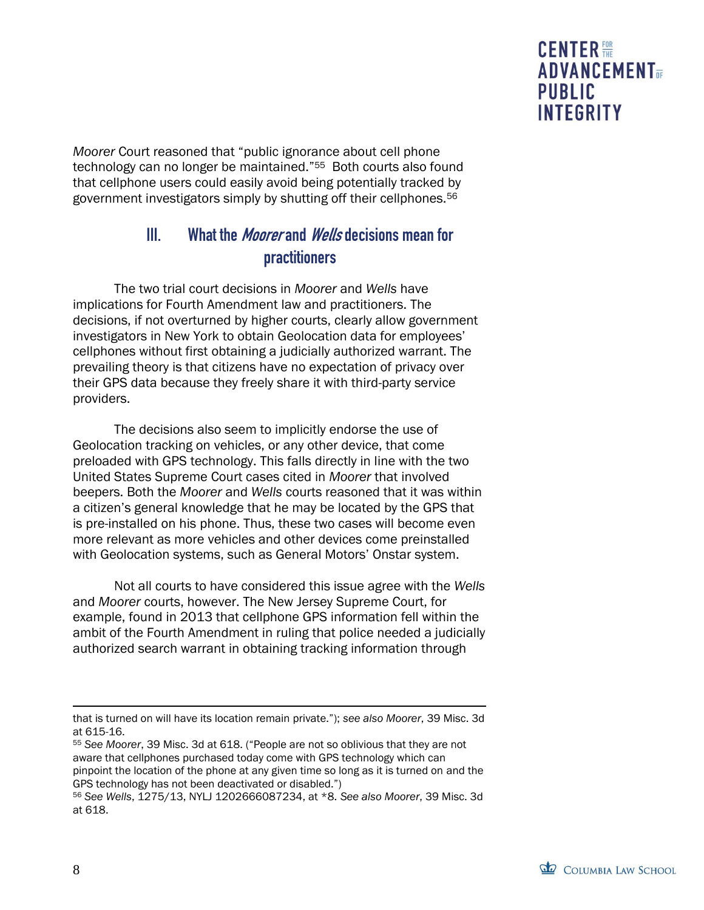*Moorer* Court reasoned that "public ignorance about cell phone technology can no longer be maintained."55 Both courts also found that cellphone users could easily avoid being potentially tracked by government investigators simply by shutting off their cellphones.<sup>56</sup>

## III. What the *Moorer* and *Wells* decisions mean for practitioners

The two trial court decisions in *Moorer* and *Wells* have implications for Fourth Amendment law and practitioners. The decisions, if not overturned by higher courts, clearly allow government investigators in New York to obtain Geolocation data for employees' cellphones without first obtaining a judicially authorized warrant. The prevailing theory is that citizens have no expectation of privacy over their GPS data because they freely share it with third-party service providers.

The decisions also seem to implicitly endorse the use of Geolocation tracking on vehicles, or any other device, that come preloaded with GPS technology. This falls directly in line with the two United States Supreme Court cases cited in *Moorer* that involved beepers. Both the *Moorer* and *Wells* courts reasoned that it was within a citizen's general knowledge that he may be located by the GPS that is pre-installed on his phone. Thus, these two cases will become even more relevant as more vehicles and other devices come preinstalled with Geolocation systems, such as General Motors' Onstar system.

Not all courts to have considered this issue agree with the *Wells* and *Moorer* courts, however. The New Jersey Supreme Court, for example, found in 2013 that cellphone GPS information fell within the ambit of the Fourth Amendment in ruling that police needed a judicially authorized search warrant in obtaining tracking information through

<sup>55</sup> *See Moorer*, 39 Misc. 3d at 618. ("People are not so oblivious that they are not aware that cellphones purchased today come with GPS technology which can pinpoint the location of the phone at any given time so long as it is turned on and the GPS technology has not been deactivated or disabled.")

 $\overline{a}$ that is turned on will have its location remain private."); *see also Moorer*, 39 Misc. 3d at 615-16.

<sup>56</sup> *See Wells*, 1275/13, NYLJ 1202666087234, at \*8. *See also Moorer*, 39 Misc. 3d at 618.